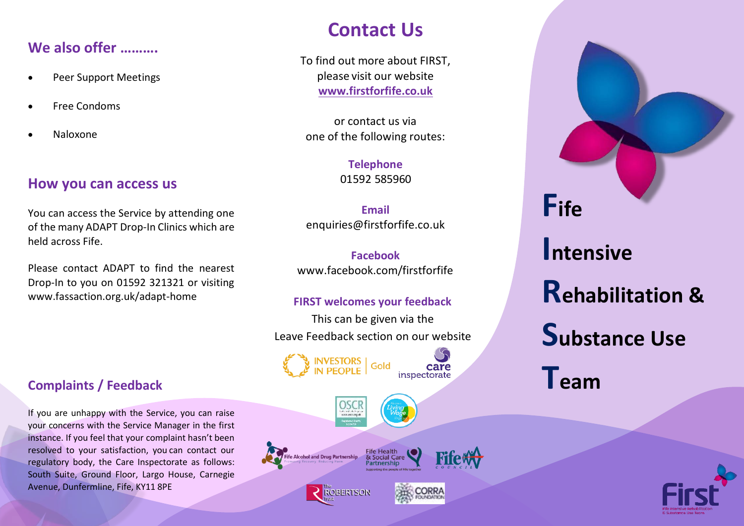# **We also offer ……….**

- Peer Support Meetings
- Free Condoms
- Naloxone

### **How you can access us**

You can access the Service by attending one of the many ADAPT Drop-In Clinics which are held across Fife.

Please contact ADAPT to find the nearest Drop-In to you on 01592 321321 or visiting www.fassaction.org.uk/adapt-home

### **Complaints / Feedback**

If you are unhappy with the Service, you can raise your concerns with the Service Manager in the first instance. If you feel that your complaint hasn't been resolved to your satisfaction, you can contact our regulatory body, the Care Inspectorate as follows: South Suite, Ground Floor, Largo House, Carnegie Avenue, Dunfermline, Fife, KY11 8PE

# **Contact Us**

To find out more about FIRST, please visit our website **www.firstforfife.co.uk**

or contact us via one of the following routes:

> **Telephone** 01592 585960

**Email**  [enquiries@firstforfife.co.uk](mailto:enquiries@firstforfife.co.uk)

**Facebook**  [www.facebook.com/firstforfife](http://www.facebook.com/firstforfife)

#### **FIRST welcomes your feedback**

This can be given via the Leave Feedback section on our website









inspectorate